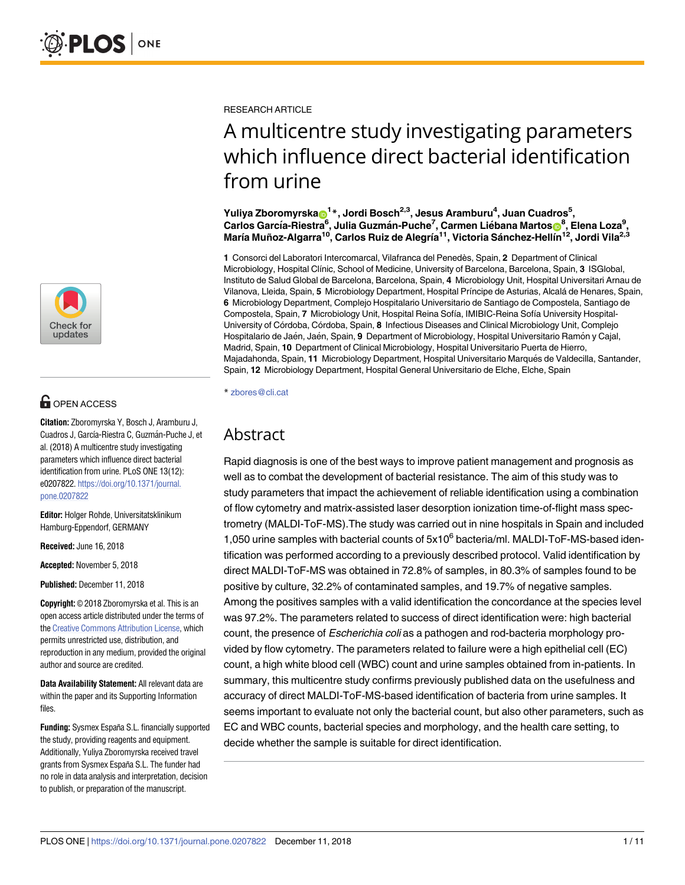

# **OPEN ACCESS**

**Citation:** Zboromyrska Y, Bosch J, Aramburu J, Cuadros J, García-Riestra C, Guzmán-Puche J, et al. (2018) A multicentre study investigating parameters which influence direct bacterial identification from urine. PLoS ONE 13(12): e0207822. [https://doi.org/10.1371/journal.](https://doi.org/10.1371/journal.pone.0207822) [pone.0207822](https://doi.org/10.1371/journal.pone.0207822)

**Editor:** Holger Rohde, Universitatsklinikum Hamburg-Eppendorf, GERMANY

**Received:** June 16, 2018

**Accepted:** November 5, 2018

**Published:** December 11, 2018

**Copyright:** © 2018 Zboromyrska et al. This is an open access article distributed under the terms of the Creative [Commons](http://creativecommons.org/licenses/by/4.0/) Attribution License, which permits unrestricted use, distribution, and reproduction in any medium, provided the original author and source are credited.

**Data Availability Statement:** All relevant data are within the paper and its Supporting Information files.

**Funding:** Sysmex España S.L. financially supported the study, providing reagents and equipment. Additionally, Yuliya Zboromyrska received travel grants from Sysmex España S.L. The funder had no role in data analysis and interpretation, decision to publish, or preparation of the manuscript.

RESEARCH ARTICLE

# A multicentre study investigating parameters which influence direct bacterial identification from urine

 $Y$ uliya Zboromyrska $\mathbf{G}^{1\,*}$ , Jordi Bosch<sup>2,3</sup>, Jesus Aramburu<sup>4</sup>, Juan Cuadros $^{5}$ ,  $\mathsf{Carlos}\ \mathsf{García\text{-}Riestra}^\mathsf{6}, \mathsf{Julia}\ \mathsf{Guzmán\text{-}Puche^7}, \mathsf{Carmen}\ \mathsf{Liebana}\ \mathsf{Martos}^\mathsf{6}{}_\mathsf{6}^\mathsf{8}, \mathsf{Elena}\ \mathsf{Loza}^\mathsf{9},$ **Marı´a Muñoz-Algarra10, Carlos Ruiz de Alegrı´a11, Victoria Sa´nchez-Hellı´n12, Jordi Vila2,3**

**1** Consorci del Laboratori Intercomarcal, Vilafranca del Penedès, Spain, **2** Department of Clinical Microbiology, Hospital Clínic, School of Medicine, University of Barcelona, Barcelona, Spain, 3 ISGlobal, Instituto de Salud Global de Barcelona, Barcelona, Spain, **4** Microbiology Unit, Hospital Universitari Arnau de Vilanova, Lleida, Spain, **5** Microbiology Department, Hospital Prı´ncipe de Asturias, Alcala´ de Henares, Spain, **6** Microbiology Department, Complejo Hospitalario Universitario de Santiago de Compostela, Santiago de Compostela, Spain, 7 Microbiology Unit, Hospital Reina Sofía, IMIBIC-Reina Sofía University Hospital-University of Co´rdoba, Co´rdoba, Spain, **8** Infectious Diseases and Clinical Microbiology Unit, Complejo Hospitalario de Jaén, Jaén, Spain, 9 Department of Microbiology, Hospital Universitario Ramón y Cajal, Madrid, Spain, **10** Department of Clinical Microbiology, Hospital Universitario Puerta de Hierro, Majadahonda, Spain, 11 Microbiology Department, Hospital Universitario Marqués de Valdecilla, Santander, Spain, **12** Microbiology Department, Hospital General Universitario de Elche, Elche, Spain

\* zbores@cli.cat

# Abstract

Rapid diagnosis is one of the best ways to improve patient management and prognosis as well as to combat the development of bacterial resistance. The aim of this study was to study parameters that impact the achievement of reliable identification using a combination of flow cytometry and matrix-assisted laser desorption ionization time-of-flight mass spectrometry (MALDI-ToF-MS).The study was carried out in nine hospitals in Spain and included 1,050 urine samples with bacterial counts of  $5x10^6$  bacteria/ml. MALDI-ToF-MS-based identification was performed according to a previously described protocol. Valid identification by direct MALDI-ToF-MS was obtained in 72.8% of samples, in 80.3% of samples found to be positive by culture, 32.2% of contaminated samples, and 19.7% of negative samples. Among the positives samples with a valid identification the concordance at the species level was 97.2%. The parameters related to success of direct identification were: high bacterial count, the presence of Escherichia coli as a pathogen and rod-bacteria morphology provided by flow cytometry. The parameters related to failure were a high epithelial cell (EC) count, a high white blood cell (WBC) count and urine samples obtained from in-patients. In summary, this multicentre study confirms previously published data on the usefulness and accuracy of direct MALDI-ToF-MS-based identification of bacteria from urine samples. It seems important to evaluate not only the bacterial count, but also other parameters, such as EC and WBC counts, bacterial species and morphology, and the health care setting, to decide whether the sample is suitable for direct identification.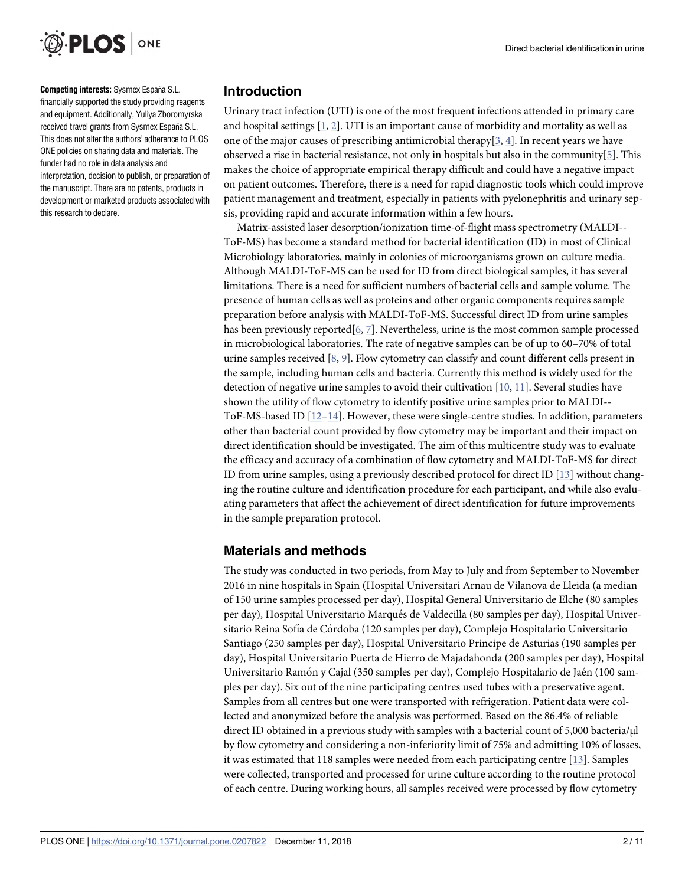<span id="page-1-0"></span>

**Competing interests:** Sysmex España S.L. financially supported the study providing reagents and equipment. Additionally, Yuliya Zboromyrska received travel grants from Sysmex España S.L. This does not alter the authors' adherence to PLOS ONE policies on sharing data and materials. The funder had no role in data analysis and interpretation, decision to publish, or preparation of the manuscript. There are no patents, products in development or marketed products associated with this research to declare.

# **Introduction**

Urinary tract infection (UTI) is one of the most frequent infections attended in primary care and hospital settings  $[1, 2]$  $[1, 2]$  $[1, 2]$  $[1, 2]$ . UTI is an important cause of morbidity and mortality as well as one of the major causes of prescribing antimicrobial therapy[ $3, 4$  $3, 4$ ]. In recent years we have observed a rise in bacterial resistance, not only in hospitals but also in the community[[5](#page-8-0)]. This makes the choice of appropriate empirical therapy difficult and could have a negative impact on patient outcomes. Therefore, there is a need for rapid diagnostic tools which could improve patient management and treatment, especially in patients with pyelonephritis and urinary sepsis, providing rapid and accurate information within a few hours.

Matrix-assisted laser desorption/ionization time-of-flight mass spectrometry (MALDI-- ToF-MS) has become a standard method for bacterial identification (ID) in most of Clinical Microbiology laboratories, mainly in colonies of microorganisms grown on culture media. Although MALDI-ToF-MS can be used for ID from direct biological samples, it has several limitations. There is a need for sufficient numbers of bacterial cells and sample volume. The presence of human cells as well as proteins and other organic components requires sample preparation before analysis with MALDI-ToF-MS. Successful direct ID from urine samples has been previously reported[[6,](#page-8-0) [7\]](#page-8-0). Nevertheless, urine is the most common sample processed in microbiological laboratories. The rate of negative samples can be of up to 60–70% of total urine samples received [\[8,](#page-9-0) [9](#page-9-0)]. Flow cytometry can classify and count different cells present in the sample, including human cells and bacteria. Currently this method is widely used for the detection of negative urine samples to avoid their cultivation [\[10,](#page-9-0) [11\]](#page-9-0). Several studies have shown the utility of flow cytometry to identify positive urine samples prior to MALDI-- ToF-MS-based ID  $[12-14]$ . However, these were single-centre studies. In addition, parameters other than bacterial count provided by flow cytometry may be important and their impact on direct identification should be investigated. The aim of this multicentre study was to evaluate the efficacy and accuracy of a combination of flow cytometry and MALDI-ToF-MS for direct ID from urine samples, using a previously described protocol for direct ID [\[13\]](#page-9-0) without changing the routine culture and identification procedure for each participant, and while also evaluating parameters that affect the achievement of direct identification for future improvements in the sample preparation protocol.

# **Materials and methods**

The study was conducted in two periods, from May to July and from September to November 2016 in nine hospitals in Spain (Hospital Universitari Arnau de Vilanova de Lleida (a median of 150 urine samples processed per day), Hospital General Universitario de Elche (80 samples per day), Hospital Universitario Marqués de Valdecilla (80 samples per day), Hospital Universitario Reina Sofía de Córdoba (120 samples per day), Complejo Hospitalario Universitario Santiago (250 samples per day), Hospital Universitario Principe de Asturias (190 samples per day), Hospital Universitario Puerta de Hierro de Majadahonda (200 samples per day), Hospital Universitario Ramón y Cajal (350 samples per day), Complejo Hospitalario de Jaén (100 samples per day). Six out of the nine participating centres used tubes with a preservative agent. Samples from all centres but one were transported with refrigeration. Patient data were collected and anonymized before the analysis was performed. Based on the 86.4% of reliable direct ID obtained in a previous study with samples with a bacterial count of 5,000 bacteria/μl by flow cytometry and considering a non-inferiority limit of 75% and admitting 10% of losses, it was estimated that 118 samples were needed from each participating centre [[13](#page-9-0)]. Samples were collected, transported and processed for urine culture according to the routine protocol of each centre. During working hours, all samples received were processed by flow cytometry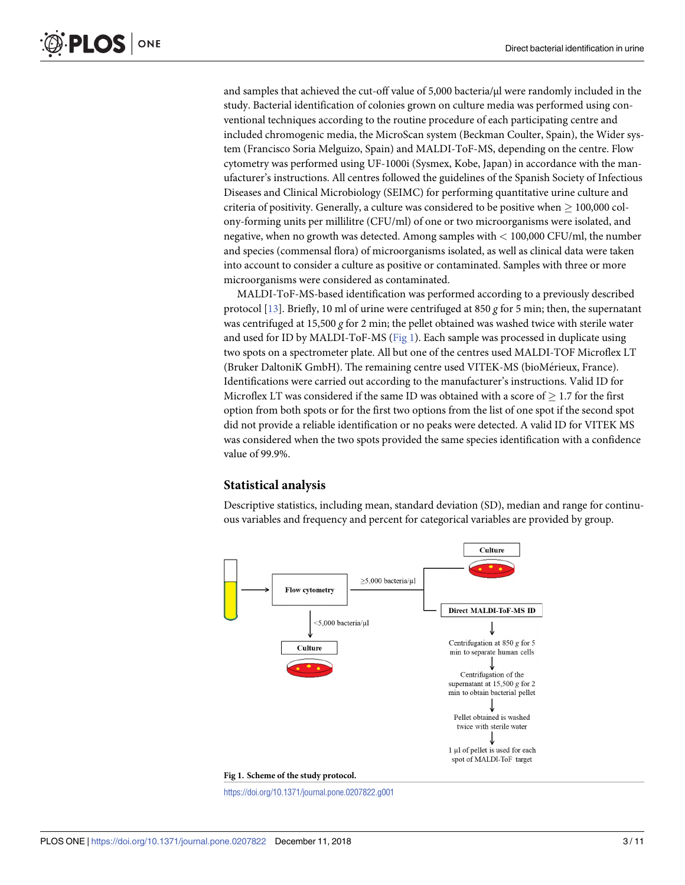and samples that achieved the cut-off value of 5,000 bacteria/μl were randomly included in the study. Bacterial identification of colonies grown on culture media was performed using conventional techniques according to the routine procedure of each participating centre and included chromogenic media, the MicroScan system (Beckman Coulter, Spain), the Wider system (Francisco Soria Melguizo, Spain) and MALDI-ToF-MS, depending on the centre. Flow cytometry was performed using UF-1000i (Sysmex, Kobe, Japan) in accordance with the manufacturer's instructions. All centres followed the guidelines of the Spanish Society of Infectious Diseases and Clinical Microbiology (SEIMC) for performing quantitative urine culture and criteria of positivity. Generally, a culture was considered to be positive when  $> 100,000$  colony-forming units per millilitre (CFU/ml) of one or two microorganisms were isolated, and negative, when no growth was detected. Among samples with *<* 100,000 CFU/ml, the number and species (commensal flora) of microorganisms isolated, as well as clinical data were taken into account to consider a culture as positive or contaminated. Samples with three or more microorganisms were considered as contaminated.

MALDI-ToF-MS-based identification was performed according to a previously described protocol [\[13\]](#page-9-0). Briefly, 10 ml of urine were centrifuged at 850 *g* for 5 min; then, the supernatant was centrifuged at 15,500 *g* for 2 min; the pellet obtained was washed twice with sterile water and used for ID by MALDI-ToF-MS (Fig 1). Each sample was processed in duplicate using two spots on a spectrometer plate. All but one of the centres used MALDI-TOF Microflex LT (Bruker DaltoniK GmbH). The remaining centre used VITEK-MS (bioMérieux, France). Identifications were carried out according to the manufacturer's instructions. Valid ID for Microflex LT was considered if the same ID was obtained with a score of  $> 1.7$  for the first option from both spots or for the first two options from the list of one spot if the second spot did not provide a reliable identification or no peaks were detected. A valid ID for VITEK MS was considered when the two spots provided the same species identification with a confidence value of 99.9%.

#### **Statistical analysis**

Descriptive statistics, including mean, standard deviation (SD), median and range for continuous variables and frequency and percent for categorical variables are provided by group.



<https://doi.org/10.1371/journal.pone.0207822.g001>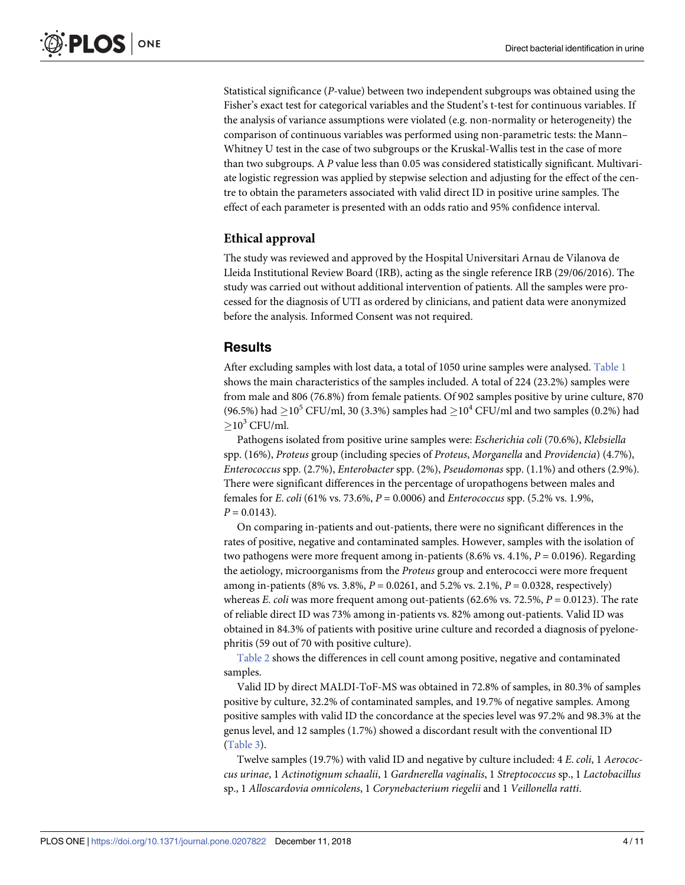<span id="page-3-0"></span>Statistical significance (*P*-value) between two independent subgroups was obtained using the Fisher's exact test for categorical variables and the Student's t-test for continuous variables. If the analysis of variance assumptions were violated (e.g. non-normality or heterogeneity) the comparison of continuous variables was performed using non-parametric tests: the Mann– Whitney U test in the case of two subgroups or the Kruskal-Wallis test in the case of more than two subgroups. A *P* value less than 0.05 was considered statistically significant. Multivariate logistic regression was applied by stepwise selection and adjusting for the effect of the centre to obtain the parameters associated with valid direct ID in positive urine samples. The effect of each parameter is presented with an odds ratio and 95% confidence interval.

## **Ethical approval**

The study was reviewed and approved by the Hospital Universitari Arnau de Vilanova de Lleida Institutional Review Board (IRB), acting as the single reference IRB (29/06/2016). The study was carried out without additional intervention of patients. All the samples were processed for the diagnosis of UTI as ordered by clinicians, and patient data were anonymized before the analysis. Informed Consent was not required.

# **Results**

After excluding samples with lost data, a total of 1050 urine samples were analysed. [Table](#page-4-0) 1 shows the main characteristics of the samples included. A total of 224 (23.2%) samples were from male and 806 (76.8%) from female patients. Of 902 samples positive by urine culture, 870 (96.5%) had  $\geq$ 10<sup>5</sup> CFU/ml, 30 (3.3%) samples had  $\geq$ 10<sup>4</sup> CFU/ml and two samples (0.2%) had  $>10^3$  CFU/ml.

Pathogens isolated from positive urine samples were: *Escherichia coli* (70.6%), *Klebsiella* spp. (16%), *Proteus* group (including species of *Proteus*, *Morganella* and *Providencia*) (4.7%), *Enterococcus* spp. (2.7%), *Enterobacter* spp. (2%), *Pseudomonas* spp. (1.1%) and others (2.9%). There were significant differences in the percentage of uropathogens between males and females for *E*. *coli* (61% vs. 73.6%, *P* = 0.0006) and *Enterococcus* spp. (5.2% vs. 1.9%,  $P = 0.0143$ .

On comparing in-patients and out-patients, there were no significant differences in the rates of positive, negative and contaminated samples. However, samples with the isolation of two pathogens were more frequent among in-patients (8.6% vs. 4.1%, *P* = 0.0196). Regarding the aetiology, microorganisms from the *Proteus* group and enterococci were more frequent among in-patients (8% vs. 3.8%, *P* = 0.0261, and 5.2% vs. 2.1%, *P* = 0.0328, respectively) whereas *E*. *coli* was more frequent among out-patients (62.6% vs. 72.5%, *P* = 0.0123). The rate of reliable direct ID was 73% among in-patients vs. 82% among out-patients. Valid ID was obtained in 84.3% of patients with positive urine culture and recorded a diagnosis of pyelonephritis (59 out of 70 with positive culture).

[Table](#page-5-0) 2 shows the differences in cell count among positive, negative and contaminated samples.

Valid ID by direct MALDI-ToF-MS was obtained in 72.8% of samples, in 80.3% of samples positive by culture, 32.2% of contaminated samples, and 19.7% of negative samples. Among positive samples with valid ID the concordance at the species level was 97.2% and 98.3% at the genus level, and 12 samples (1.7%) showed a discordant result with the conventional ID [\(Table](#page-5-0) 3).

Twelve samples (19.7%) with valid ID and negative by culture included: 4 *E*. *coli*, 1 *Aerococcus urinae*, 1 *Actinotignum schaalii*, 1 *Gardnerella vaginalis*, 1 *Streptococcus* sp., 1 *Lactobacillus* sp., 1 *Alloscardovia omnicolens*, 1 *Corynebacterium riegelii* and 1 *Veillonella ratti*.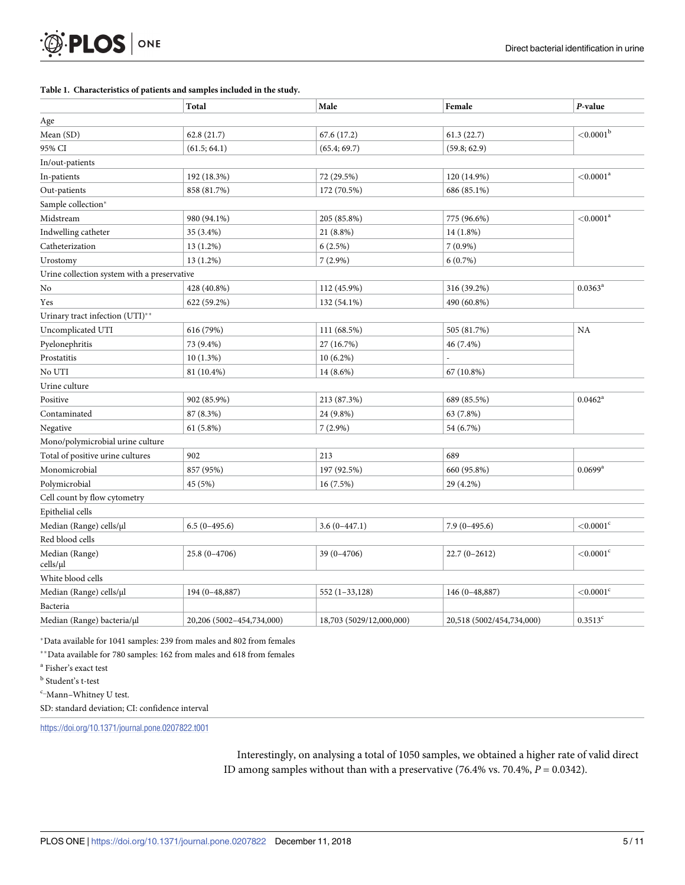#### <span id="page-4-0"></span>**[Table](#page-3-0) 1. Characteristics of patients and samples included in the study.**

|                                             | Total                     | Male                     | Female                    | P-value                  |  |
|---------------------------------------------|---------------------------|--------------------------|---------------------------|--------------------------|--|
| Age                                         |                           |                          |                           |                          |  |
| Mean (SD)                                   | 62.8 (21.7)               | 67.6 (17.2)              | 61.3(22.7)                | ${<}0.0001^{\mathrm{b}}$ |  |
| 95% CI                                      | (61.5; 64.1)              | (65.4; 69.7)             | (59.8; 62.9)              |                          |  |
| In/out-patients                             |                           |                          |                           |                          |  |
| In-patients                                 | 192 (18.3%)               | 72 (29.5%)               | 120 (14.9%)               | ${<}0.0001$ <sup>a</sup> |  |
| Out-patients                                | 858 (81.7%)               | 172 (70.5%)              | 686 (85.1%)               |                          |  |
| Sample collection*                          |                           |                          |                           |                          |  |
| Midstream                                   | 980 (94.1%)               | 205 (85.8%)              | 775 (96.6%)               | ${<}0.0001$ <sup>a</sup> |  |
| Indwelling catheter                         | 35 (3.4%)                 | 21 (8.8%)                | 14 (1.8%)                 |                          |  |
| Catheterization                             | 13 (1.2%)                 | 6(2.5%)                  | $7(0.9\%)$                |                          |  |
| Urostomy                                    | 13 (1.2%)                 | $7(2.9\%)$               | 6(0.7%)                   |                          |  |
| Urine collection system with a preservative |                           |                          |                           |                          |  |
| No                                          | 428 (40.8%)               | 112 (45.9%)              | 316 (39.2%)               | $0.0363^{\rm a}$         |  |
| Yes                                         | 622 (59.2%)               | 132 (54.1%)              | 490 (60.8%)               |                          |  |
| Urinary tract infection (UTI)**             |                           |                          |                           |                          |  |
| Uncomplicated UTI                           | 616 (79%)                 | 111 (68.5%)              | 505 (81.7%)               | NA                       |  |
| Pyelonephritis                              | 73 (9.4%)                 | 27 (16.7%)               | 46 (7.4%)                 |                          |  |
| Prostatitis                                 | 10(1.3%)                  | $10(6.2\%)$              |                           |                          |  |
| No UTI                                      | 81 (10.4%)                | 14 (8.6%)                | 67 (10.8%)                |                          |  |
| Urine culture                               |                           |                          |                           |                          |  |
| Positive                                    | 902 (85.9%)               | 213 (87.3%)              | 689 (85.5%)               | $0.0462^a$               |  |
| Contaminated                                | 87 (8.3%)                 | 24 (9.8%)                | 63 (7.8%)                 |                          |  |
| Negative                                    | $61(5.8\%)$               | $7(2.9\%)$               | 54 (6.7%)                 |                          |  |
| Mono/polymicrobial urine culture            |                           |                          |                           |                          |  |
| Total of positive urine cultures            | 902                       | 213                      | 689                       |                          |  |
| Monomicrobial                               | 857 (95%)                 | 197 (92.5%)              | 660 (95.8%)               | $0.0699$ <sup>a</sup>    |  |
| Polymicrobial                               | 45 (5%)                   | 16(7.5%)                 | 29 (4.2%)                 |                          |  |
| Cell count by flow cytometry                |                           |                          |                           |                          |  |
| Epithelial cells                            |                           |                          |                           |                          |  |
| Median (Range) cells/µl                     | $6.5(0-495.6)$            | $3.6(0-447.1)$           | $7.9(0-495.6)$            | ${<}0.0001$ <sup>c</sup> |  |
| Red blood cells                             |                           |                          |                           |                          |  |
| Median (Range)<br>cells/µl                  | $25.8(0-4706)$            | $39(0-4706)$             | $22.7(0-2612)$            | $<$ 0.0001 $\degree$     |  |
| White blood cells                           |                           |                          |                           |                          |  |
| Median (Range) cells/µl                     | 194 (0-48,887)            | $552(1-33,128)$          | 146 (0-48,887)            | ${<}0.0001$ <sup>c</sup> |  |
| Bacteria                                    |                           |                          |                           |                          |  |
| Median (Range) bacteria/µl                  | 20,206 (5002-454,734,000) | 18,703 (5029/12,000,000) | 20,518 (5002/454,734,000) | $0.3513^{c}$             |  |

�Data available for 1041 samples: 239 from males and 802 from females

��Data available for 780 samples: 162 from males and 618 from females

<sup>a</sup> Fisher's exact test

<sup>b</sup> Student's t-test

 $c$ -Mann-Whitney U test.

SD: standard deviation; CI: confidence interval

<https://doi.org/10.1371/journal.pone.0207822.t001>

Interestingly, on analysing a total of 1050 samples, we obtained a higher rate of valid direct ID among samples without than with a preservative (76.4% vs. 70.4%, *P* = 0.0342).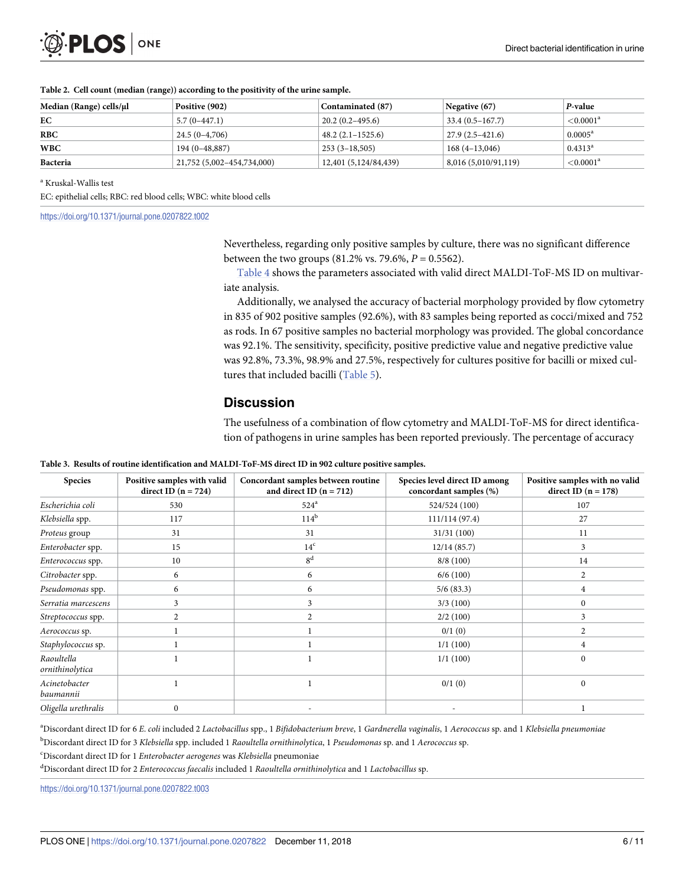<span id="page-5-0"></span>

| <b>D.PLOS</b> ONE |  |
|-------------------|--|
|-------------------|--|

| Median (Range) cells/µl | Positive (902)             | Contaminated (87)     | Negative $(67)$     | P-value               |
|-------------------------|----------------------------|-----------------------|---------------------|-----------------------|
| EС                      | $5.7(0-447.1)$             | $20.2(0.2-495.6)$     | $33.4(0.5 - 167.7)$ | $<$ 0.0001 $^{\rm a}$ |
| <b>RBC</b>              | $24.5(0-4,706)$            | $48.2(2.1 - 1525.6)$  | $27.9(2.5-421.6)$   | $0.0005^{\rm a}$      |
| WBC                     | $194(0-48,887)$            | $253(3-18,505)$       | $168(4-13,046)$     | $0.4313^{\rm a}$      |
| Bacteria                | 21,752 (5,002-454,734,000) | 12,401 (5,124/84,439) | 8,016(5,010/91,119) | ${<}0.0001^a$         |

#### **[Table](#page-3-0) 2. Cell count (median (range)) according to the positivity of the urine sample.**

<sup>a</sup> Kruskal-Wallis test

EC: epithelial cells; RBC: red blood cells; WBC: white blood cells

<https://doi.org/10.1371/journal.pone.0207822.t002>

Nevertheless, regarding only positive samples by culture, there was no significant difference between the two groups (81.2% vs. 79.6%, *P* = 0.5562).

[Table](#page-6-0) 4 shows the parameters associated with valid direct MALDI-ToF-MS ID on multivariate analysis.

Additionally, we analysed the accuracy of bacterial morphology provided by flow cytometry in 835 of 902 positive samples (92.6%), with 83 samples being reported as cocci/mixed and 752 as rods. In 67 positive samples no bacterial morphology was provided. The global concordance was 92.1%. The sensitivity, specificity, positive predictive value and negative predictive value was 92.8%, 73.3%, 98.9% and 27.5%, respectively for cultures positive for bacilli or mixed cultures that included bacilli [\(Table](#page-6-0) 5).

## **Discussion**

The usefulness of a combination of flow cytometry and MALDI-ToF-MS for direct identification of pathogens in urine samples has been reported previously. The percentage of accuracy

| <b>Species</b>                | Positive samples with valid<br>direct ID $(n = 724)$ | Concordant samples between routine<br>and direct ID $(n = 712)$ | Species level direct ID among<br>concordant samples (%) | Positive samples with no valid<br>direct ID $(n = 178)$ |
|-------------------------------|------------------------------------------------------|-----------------------------------------------------------------|---------------------------------------------------------|---------------------------------------------------------|
| Escherichia coli              | 530                                                  | $524^{\circ}$                                                   | 524/524 (100)                                           | 107                                                     |
| Klebsiella spp.               | 117                                                  | $114^b$                                                         | 111/114(97.4)                                           | 27                                                      |
| Proteus group                 | 31                                                   | 31                                                              | 31/31(100)                                              | 11                                                      |
| Enterobacter spp.             | 15                                                   | 14 <sup>c</sup>                                                 | 12/14(85.7)                                             | 3                                                       |
| Enterococcus spp.             | 10                                                   | 8 <sup>d</sup>                                                  | 8/8(100)                                                | 14                                                      |
| Citrobacter spp.              | 6                                                    | 6                                                               | 6/6(100)                                                | 2                                                       |
| Pseudomonas spp.              | 6                                                    | 6                                                               | 5/6(83.3)                                               | 4                                                       |
| Serratia marcescens           | 3                                                    | 3                                                               | 3/3(100)                                                | $\mathbf{0}$                                            |
| Streptococcus spp.            | 2                                                    | 2                                                               | 2/2(100)                                                | 3                                                       |
| Aerococcus sp.                |                                                      |                                                                 | 0/1(0)                                                  | 2                                                       |
| Staphylococcus sp.            |                                                      |                                                                 | 1/1(100)                                                | 4                                                       |
| Raoultella<br>ornithinolytica |                                                      |                                                                 | 1/1(100)                                                | $\mathbf{0}$                                            |
| Acinetobacter<br>baumannii    |                                                      |                                                                 | 0/1(0)                                                  | $\mathbf{0}$                                            |
| Oligella urethralis           | $\mathbf{0}$                                         |                                                                 |                                                         |                                                         |

**[Table](#page-3-0) 3. Results of routine identification and MALDI-ToF-MS direct ID in 902 culture positive samples.**

an is cordant direct ID for 6 E. coli included 2 Lactobacillus spp., 1 Bifidobacterium breve, 1 Gardnerella vaginalis, 1 Aerococcus sp. and 1 Klebsiella pneumoniae b Discordant direct ID for 3 *Klebsiella* spp. included 1 *Raoultella ornithinolytica*, 1 *Pseudomonas* sp. and 1 *Aerococcus* sp.

c Discordant direct ID for 1 *Enterobacter aerogenes* was *Klebsiella* pneumoniae

d Discordant direct ID for 2 *Enterococcus faecalis* included 1 *Raoultella ornithinolytica* and 1 *Lactobacillus* sp.

<https://doi.org/10.1371/journal.pone.0207822.t003>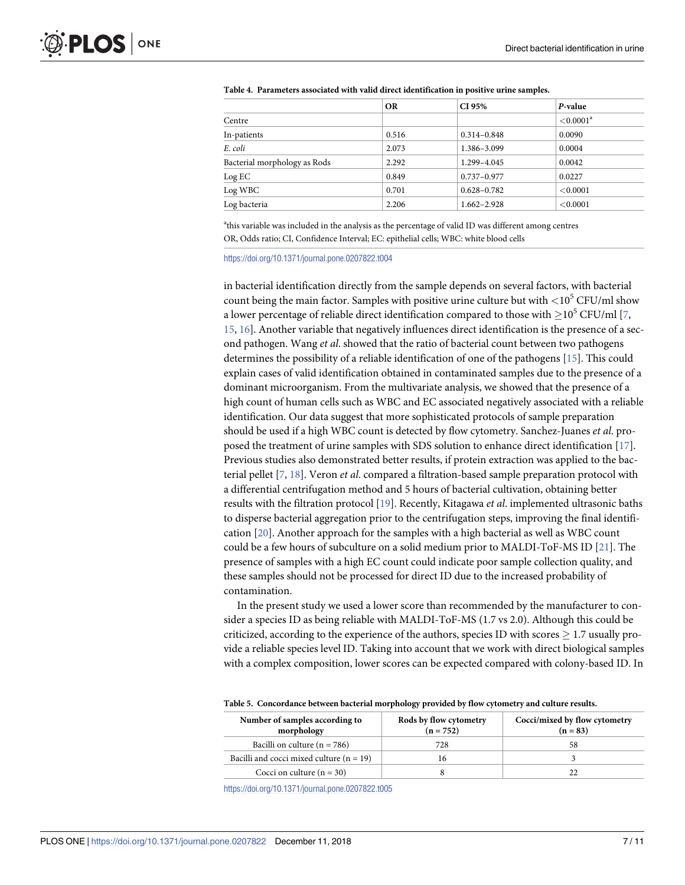|                              | <b>OR</b> | CI 95%          | P-value                  |
|------------------------------|-----------|-----------------|--------------------------|
| Centre                       |           |                 | ${<}0.0001$ <sup>a</sup> |
| In-patients                  | 0.516     | $0.314 - 0.848$ | 0.0090                   |
| E. coli                      | 2.073     | 1.386-3.099     | 0.0004                   |
| Bacterial morphology as Rods | 2.292     | 1.299-4.045     | 0.0042                   |
| Log EC                       | 0.849     | $0.737 - 0.977$ | 0.0227                   |
| Log WBC                      | 0.701     | $0.628 - 0.782$ | < 0.0001                 |
| Log bacteria                 | 2.206     | $1.662 - 2.928$ | < 0.0001                 |

<span id="page-6-0"></span>**[Table](#page-5-0) 4. Parameters associated with valid direct identification in positive urine samples.**

<sup>a</sup>this variable was included in the analysis as the percentage of valid ID was different among centres OR, Odds ratio; CI, Confidence Interval; EC: epithelial cells; WBC: white blood cells

<https://doi.org/10.1371/journal.pone.0207822.t004>

in bacterial identification directly from the sample depends on several factors, with bacterial count being the main factor. Samples with positive urine culture but with *<*105 CFU/ml show a lower percentage of reliable direct identification compared to those with  $>10^5$  CFU/ml [\[7,](#page-8-0) [15,](#page-9-0) [16](#page-9-0)]. Another variable that negatively influences direct identification is the presence of a second pathogen. Wang *et al*. showed that the ratio of bacterial count between two pathogens determines the possibility of a reliable identification of one of the pathogens [[15](#page-9-0)]. This could explain cases of valid identification obtained in contaminated samples due to the presence of a dominant microorganism. From the multivariate analysis, we showed that the presence of a high count of human cells such as WBC and EC associated negatively associated with a reliable identification. Our data suggest that more sophisticated protocols of sample preparation should be used if a high WBC count is detected by flow cytometry. Sanchez-Juanes *et al*. proposed the treatment of urine samples with SDS solution to enhance direct identification [\[17\]](#page-9-0). Previous studies also demonstrated better results, if protein extraction was applied to the bacterial pellet [[7](#page-8-0), [18](#page-9-0)]. Veron *et al*. compared a filtration-based sample preparation protocol with a differential centrifugation method and 5 hours of bacterial cultivation, obtaining better results with the filtration protocol [[19](#page-9-0)]. Recently, Kitagawa *et al*. implemented ultrasonic baths to disperse bacterial aggregation prior to the centrifugation steps, improving the final identification [\[20\]](#page-9-0). Another approach for the samples with a high bacterial as well as WBC count could be a few hours of subculture on a solid medium prior to MALDI-ToF-MS ID [\[21\]](#page-9-0). The presence of samples with a high EC count could indicate poor sample collection quality, and these samples should not be processed for direct ID due to the increased probability of contamination.

In the present study we used a lower score than recommended by the manufacturer to consider a species ID as being reliable with MALDI-ToF-MS (1.7 vs 2.0). Although this could be criticized, according to the experience of the authors, species ID with scores  $\geq 1.7$  usually provide a reliable species level ID. Taking into account that we work with direct biological samples with a complex composition, lower scores can be expected compared with colony-based ID. In

|  | Table 5. Concordance between bacterial morphology provided by flow cytometry and culture results. |  |  |  |  |
|--|---------------------------------------------------------------------------------------------------|--|--|--|--|
|--|---------------------------------------------------------------------------------------------------|--|--|--|--|

| Number of samples according to<br>morphology | Rods by flow cytometry<br>$(n = 752)$ | Cocci/mixed by flow cytometry<br>$(n = 83)$ |  |
|----------------------------------------------|---------------------------------------|---------------------------------------------|--|
| Bacilli on culture ( $n = 786$ )             | 728                                   | 58                                          |  |
| Bacilli and cocci mixed culture $(n = 19)$   | 16                                    |                                             |  |
| Cocci on culture $(n = 30)$                  |                                       |                                             |  |

<https://doi.org/10.1371/journal.pone.0207822.t005>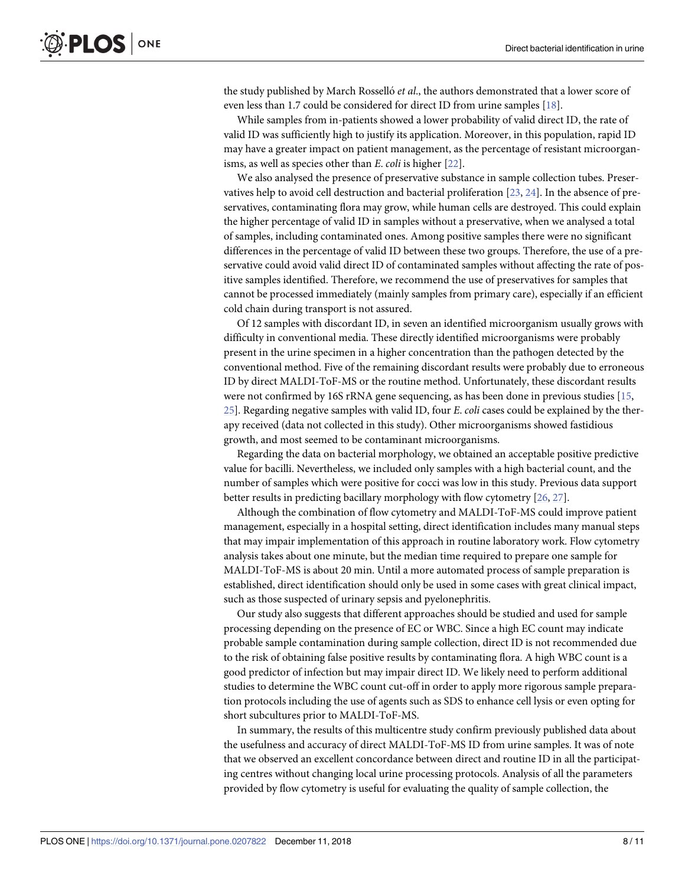<span id="page-7-0"></span>the study published by March Rossello´ *et al*., the authors demonstrated that a lower score of even less than 1.7 could be considered for direct ID from urine samples [\[18\]](#page-9-0).

While samples from in-patients showed a lower probability of valid direct ID, the rate of valid ID was sufficiently high to justify its application. Moreover, in this population, rapid ID may have a greater impact on patient management, as the percentage of resistant microorganisms, as well as species other than *E*. *coli* is higher [\[22\]](#page-9-0).

We also analysed the presence of preservative substance in sample collection tubes. Preservatives help to avoid cell destruction and bacterial proliferation [[23](#page-9-0), [24](#page-10-0)]. In the absence of preservatives, contaminating flora may grow, while human cells are destroyed. This could explain the higher percentage of valid ID in samples without a preservative, when we analysed a total of samples, including contaminated ones. Among positive samples there were no significant differences in the percentage of valid ID between these two groups. Therefore, the use of a preservative could avoid valid direct ID of contaminated samples without affecting the rate of positive samples identified. Therefore, we recommend the use of preservatives for samples that cannot be processed immediately (mainly samples from primary care), especially if an efficient cold chain during transport is not assured.

Of 12 samples with discordant ID, in seven an identified microorganism usually grows with difficulty in conventional media. These directly identified microorganisms were probably present in the urine specimen in a higher concentration than the pathogen detected by the conventional method. Five of the remaining discordant results were probably due to erroneous ID by direct MALDI-ToF-MS or the routine method. Unfortunately, these discordant results were not confirmed by 16S rRNA gene sequencing, as has been done in previous studies [[15](#page-9-0), [25\]](#page-10-0). Regarding negative samples with valid ID, four *E*. *coli* cases could be explained by the therapy received (data not collected in this study). Other microorganisms showed fastidious growth, and most seemed to be contaminant microorganisms.

Regarding the data on bacterial morphology, we obtained an acceptable positive predictive value for bacilli. Nevertheless, we included only samples with a high bacterial count, and the number of samples which were positive for cocci was low in this study. Previous data support better results in predicting bacillary morphology with flow cytometry [\[26,](#page-10-0) [27\]](#page-10-0).

Although the combination of flow cytometry and MALDI-ToF-MS could improve patient management, especially in a hospital setting, direct identification includes many manual steps that may impair implementation of this approach in routine laboratory work. Flow cytometry analysis takes about one minute, but the median time required to prepare one sample for MALDI-ToF-MS is about 20 min. Until a more automated process of sample preparation is established, direct identification should only be used in some cases with great clinical impact, such as those suspected of urinary sepsis and pyelonephritis.

Our study also suggests that different approaches should be studied and used for sample processing depending on the presence of EC or WBC. Since a high EC count may indicate probable sample contamination during sample collection, direct ID is not recommended due to the risk of obtaining false positive results by contaminating flora. A high WBC count is a good predictor of infection but may impair direct ID. We likely need to perform additional studies to determine the WBC count cut-off in order to apply more rigorous sample preparation protocols including the use of agents such as SDS to enhance cell lysis or even opting for short subcultures prior to MALDI-ToF-MS.

In summary, the results of this multicentre study confirm previously published data about the usefulness and accuracy of direct MALDI-ToF-MS ID from urine samples. It was of note that we observed an excellent concordance between direct and routine ID in all the participating centres without changing local urine processing protocols. Analysis of all the parameters provided by flow cytometry is useful for evaluating the quality of sample collection, the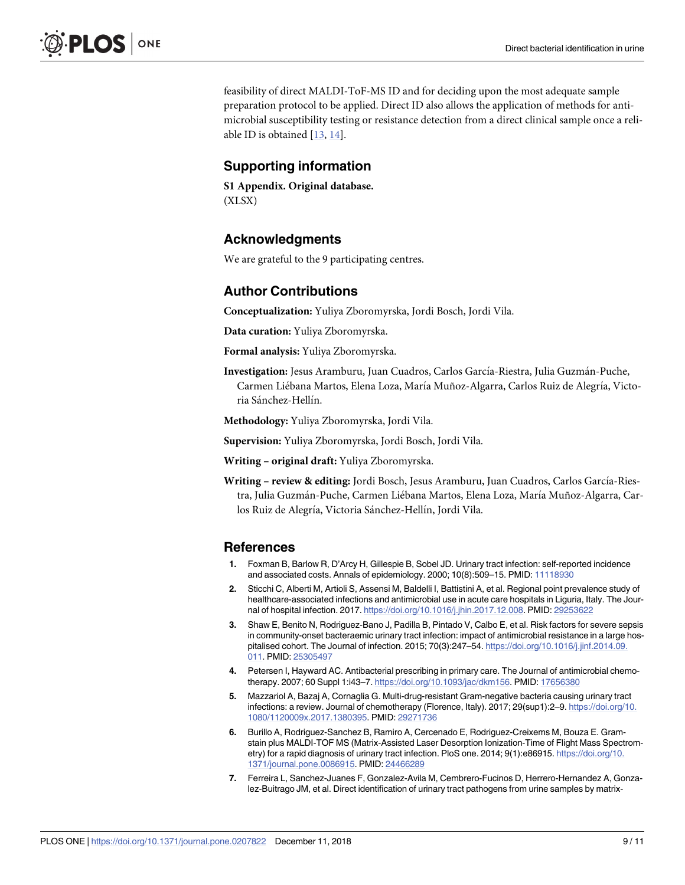<span id="page-8-0"></span>feasibility of direct MALDI-ToF-MS ID and for deciding upon the most adequate sample preparation protocol to be applied. Direct ID also allows the application of methods for antimicrobial susceptibility testing or resistance detection from a direct clinical sample once a reliable ID is obtained [\[13,](#page-9-0) [14\]](#page-9-0).

# **Supporting information**

**S1 [Appendix](http://www.plosone.org/article/fetchSingleRepresentation.action?uri=info:doi/10.1371/journal.pone.0207822.s001). Original database.** (XLSX)

# **Acknowledgments**

We are grateful to the 9 participating centres.

# **Author Contributions**

**Conceptualization:** Yuliya Zboromyrska, Jordi Bosch, Jordi Vila.

**Data curation:** Yuliya Zboromyrska.

**Formal analysis:** Yuliya Zboromyrska.

Investigation: Jesus Aramburu, Juan Cuadros, Carlos García-Riestra, Julia Guzmán-Puche, Carmen Liébana Martos, Elena Loza, María Muñoz-Algarra, Carlos Ruiz de Alegría, Victoria Sánchez-Hellín.

**Methodology:** Yuliya Zboromyrska, Jordi Vila.

**Supervision:** Yuliya Zboromyrska, Jordi Bosch, Jordi Vila.

**Writing – original draft:** Yuliya Zboromyrska.

**Writing – review & editing:** Jordi Bosch, Jesus Aramburu, Juan Cuadros, Carlos Garcı´a-Riestra, Julia Guzmán-Puche, Carmen Liébana Martos, Elena Loza, María Muñoz-Algarra, Carlos Ruiz de Alegría, Victoria Sánchez-Hellín, Jordi Vila.

## **References**

- **[1](#page-1-0).** Foxman B, Barlow R, D'Arcy H, Gillespie B, Sobel JD. Urinary tract infection: self-reported incidence and associated costs. Annals of epidemiology. 2000; 10(8):509–15. PMID: [11118930](http://www.ncbi.nlm.nih.gov/pubmed/11118930)
- **[2](#page-1-0).** Sticchi C, Alberti M, Artioli S, Assensi M, Baldelli I, Battistini A, et al. Regional point prevalence study of healthcare-associated infections and antimicrobial use in acute care hospitals in Liguria, Italy. The Journal of hospital infection. 2017. [https://doi.org/10.1016/j.jhin.2017.12.008.](https://doi.org/10.1016/j.jhin.2017.12.008) PMID: [29253622](http://www.ncbi.nlm.nih.gov/pubmed/29253622)
- **[3](#page-1-0).** Shaw E, Benito N, Rodriguez-Bano J, Padilla B, Pintado V, Calbo E, et al. Risk factors for severe sepsis in community-onset bacteraemic urinary tract infection: impact of antimicrobial resistance in a large hospitalised cohort. The Journal of infection. 2015; 70(3):247–54. [https://doi.org/10.1016/j.jinf.2014.09.](https://doi.org/10.1016/j.jinf.2014.09.011) [011.](https://doi.org/10.1016/j.jinf.2014.09.011) PMID: [25305497](http://www.ncbi.nlm.nih.gov/pubmed/25305497)
- **[4](#page-1-0).** Petersen I, Hayward AC. Antibacterial prescribing in primary care. The Journal of antimicrobial chemotherapy. 2007; 60 Suppl 1:i43–7. [https://doi.org/10.1093/jac/dkm156.](https://doi.org/10.1093/jac/dkm156) PMID: [17656380](http://www.ncbi.nlm.nih.gov/pubmed/17656380)
- **[5](#page-1-0).** Mazzariol A, Bazaj A, Cornaglia G. Multi-drug-resistant Gram-negative bacteria causing urinary tract infections: a review. Journal of chemotherapy (Florence, Italy). 2017; 29(sup1):2–9. [https://doi.org/10.](https://doi.org/10.1080/1120009x.2017.1380395) [1080/1120009x.2017.1380395](https://doi.org/10.1080/1120009x.2017.1380395). PMID: [29271736](http://www.ncbi.nlm.nih.gov/pubmed/29271736)
- **[6](#page-1-0).** Burillo A, Rodriguez-Sanchez B, Ramiro A, Cercenado E, Rodriguez-Creixems M, Bouza E. Gramstain plus MALDI-TOF MS (Matrix-Assisted Laser Desorption Ionization-Time of Flight Mass Spectrometry) for a rapid diagnosis of urinary tract infection. PloS one. 2014; 9(1):e86915. [https://doi.org/10.](https://doi.org/10.1371/journal.pone.0086915) [1371/journal.pone.0086915](https://doi.org/10.1371/journal.pone.0086915). PMID: [24466289](http://www.ncbi.nlm.nih.gov/pubmed/24466289)
- **[7](#page-1-0).** Ferreira L, Sanchez-Juanes F, Gonzalez-Avila M, Cembrero-Fucinos D, Herrero-Hernandez A, Gonzalez-Buitrago JM, et al. Direct identification of urinary tract pathogens from urine samples by matrix-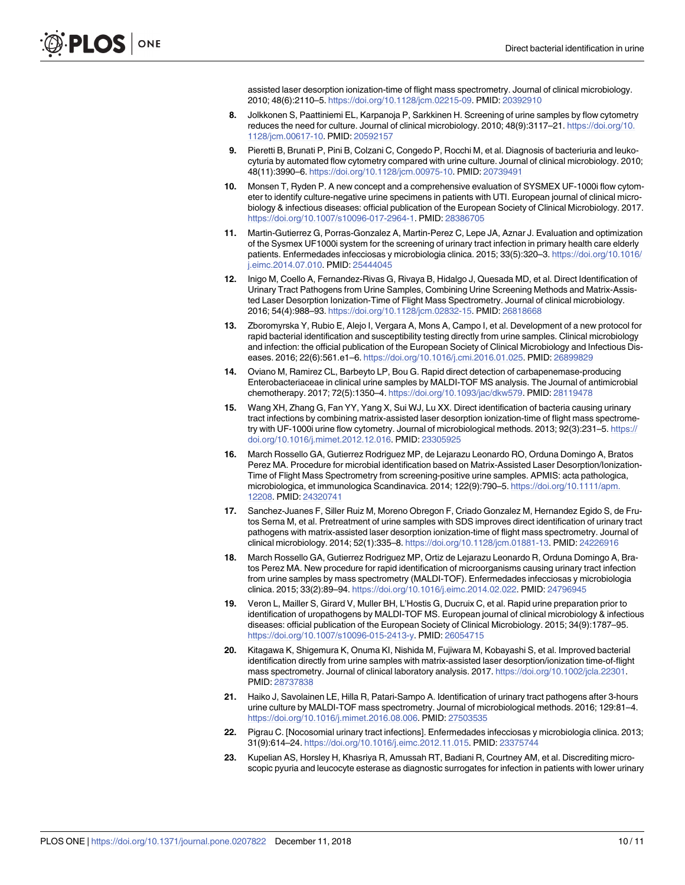assisted laser desorption ionization-time of flight mass spectrometry. Journal of clinical microbiology. 2010; 48(6):2110–5. [https://doi.org/10.1128/jcm.02215-09.](https://doi.org/10.1128/jcm.02215-09) PMID: [20392910](http://www.ncbi.nlm.nih.gov/pubmed/20392910)

- <span id="page-9-0"></span>**[8](#page-1-0).** Jolkkonen S, Paattiniemi EL, Karpanoja P, Sarkkinen H. Screening of urine samples by flow cytometry reduces the need for culture. Journal of clinical microbiology. 2010; 48(9):3117–21. [https://doi.org/10.](https://doi.org/10.1128/jcm.00617-10) [1128/jcm.00617-10.](https://doi.org/10.1128/jcm.00617-10) PMID: [20592157](http://www.ncbi.nlm.nih.gov/pubmed/20592157)
- **[9](#page-1-0).** Pieretti B, Brunati P, Pini B, Colzani C, Congedo P, Rocchi M, et al. Diagnosis of bacteriuria and leukocyturia by automated flow cytometry compared with urine culture. Journal of clinical microbiology. 2010; 48(11):3990–6. [https://doi.org/10.1128/jcm.00975-10.](https://doi.org/10.1128/jcm.00975-10) PMID: [20739491](http://www.ncbi.nlm.nih.gov/pubmed/20739491)
- **[10](#page-1-0).** Monsen T, Ryden P. A new concept and a comprehensive evaluation of SYSMEX UF-1000i flow cytometer to identify culture-negative urine specimens in patients with UTI. European journal of clinical microbiology & infectious diseases: official publication of the European Society of Clinical Microbiology. 2017. <https://doi.org/10.1007/s10096-017-2964-1>. PMID: [28386705](http://www.ncbi.nlm.nih.gov/pubmed/28386705)
- **[11](#page-1-0).** Martin-Gutierrez G, Porras-Gonzalez A, Martin-Perez C, Lepe JA, Aznar J. Evaluation and optimization of the Sysmex UF1000i system for the screening of urinary tract infection in primary health care elderly patients. Enfermedades infecciosas y microbiologia clinica. 2015; 33(5):320–3. [https://doi.org/10.1016/](https://doi.org/10.1016/j.eimc.2014.07.010) [j.eimc.2014.07.010.](https://doi.org/10.1016/j.eimc.2014.07.010) PMID: [25444045](http://www.ncbi.nlm.nih.gov/pubmed/25444045)
- **[12](#page-1-0).** Inigo M, Coello A, Fernandez-Rivas G, Rivaya B, Hidalgo J, Quesada MD, et al. Direct Identification of Urinary Tract Pathogens from Urine Samples, Combining Urine Screening Methods and Matrix-Assisted Laser Desorption Ionization-Time of Flight Mass Spectrometry. Journal of clinical microbiology. 2016; 54(4):988–93. [https://doi.org/10.1128/jcm.02832-15.](https://doi.org/10.1128/jcm.02832-15) PMID: [26818668](http://www.ncbi.nlm.nih.gov/pubmed/26818668)
- **[13](#page-1-0).** Zboromyrska Y, Rubio E, Alejo I, Vergara A, Mons A, Campo I, et al. Development of a new protocol for rapid bacterial identification and susceptibility testing directly from urine samples. Clinical microbiology and infection: the official publication of the European Society of Clinical Microbiology and Infectious Diseases. 2016; 22(6):561.e1–6. [https://doi.org/10.1016/j.cmi.2016.01.025.](https://doi.org/10.1016/j.cmi.2016.01.025) PMID: [26899829](http://www.ncbi.nlm.nih.gov/pubmed/26899829)
- **[14](#page-1-0).** Oviano M, Ramirez CL, Barbeyto LP, Bou G. Rapid direct detection of carbapenemase-producing Enterobacteriaceae in clinical urine samples by MALDI-TOF MS analysis. The Journal of antimicrobial chemotherapy. 2017; 72(5):1350–4. <https://doi.org/10.1093/jac/dkw579>. PMID: [28119478](http://www.ncbi.nlm.nih.gov/pubmed/28119478)
- **[15](#page-6-0).** Wang XH, Zhang G, Fan YY, Yang X, Sui WJ, Lu XX. Direct identification of bacteria causing urinary tract infections by combining matrix-assisted laser desorption ionization-time of flight mass spectrometry with UF-1000i urine flow cytometry. Journal of microbiological methods. 2013; 92(3):231–5. [https://](https://doi.org/10.1016/j.mimet.2012.12.016) [doi.org/10.1016/j.mimet.2012.12.016.](https://doi.org/10.1016/j.mimet.2012.12.016) PMID: [23305925](http://www.ncbi.nlm.nih.gov/pubmed/23305925)
- **[16](#page-6-0).** March Rossello GA, Gutierrez Rodriguez MP, de Lejarazu Leonardo RO, Orduna Domingo A, Bratos Perez MA. Procedure for microbial identification based on Matrix-Assisted Laser Desorption/Ionization-Time of Flight Mass Spectrometry from screening-positive urine samples. APMIS: acta pathologica, microbiologica, et immunologica Scandinavica. 2014; 122(9):790–5. [https://doi.org/10.1111/apm.](https://doi.org/10.1111/apm.12208) [12208](https://doi.org/10.1111/apm.12208). PMID: [24320741](http://www.ncbi.nlm.nih.gov/pubmed/24320741)
- **[17](#page-6-0).** Sanchez-Juanes F, Siller Ruiz M, Moreno Obregon F, Criado Gonzalez M, Hernandez Egido S, de Frutos Serna M, et al. Pretreatment of urine samples with SDS improves direct identification of urinary tract pathogens with matrix-assisted laser desorption ionization-time of flight mass spectrometry. Journal of clinical microbiology. 2014; 52(1):335–8. [https://doi.org/10.1128/jcm.01881-13.](https://doi.org/10.1128/jcm.01881-13) PMID: [24226916](http://www.ncbi.nlm.nih.gov/pubmed/24226916)
- **[18](#page-6-0).** March Rossello GA, Gutierrez Rodriguez MP, Ortiz de Lejarazu Leonardo R, Orduna Domingo A, Bratos Perez MA. New procedure for rapid identification of microorganisms causing urinary tract infection from urine samples by mass spectrometry (MALDI-TOF). Enfermedades infecciosas y microbiologia clinica. 2015; 33(2):89–94. [https://doi.org/10.1016/j.eimc.2014.02.022.](https://doi.org/10.1016/j.eimc.2014.02.022) PMID: [24796945](http://www.ncbi.nlm.nih.gov/pubmed/24796945)
- **[19](#page-6-0).** Veron L, Mailler S, Girard V, Muller BH, L'Hostis G, Ducruix C, et al. Rapid urine preparation prior to identification of uropathogens by MALDI-TOF MS. European journal of clinical microbiology & infectious diseases: official publication of the European Society of Clinical Microbiology. 2015; 34(9):1787–95. <https://doi.org/10.1007/s10096-015-2413-y>. PMID: [26054715](http://www.ncbi.nlm.nih.gov/pubmed/26054715)
- **[20](#page-6-0).** Kitagawa K, Shigemura K, Onuma KI, Nishida M, Fujiwara M, Kobayashi S, et al. Improved bacterial identification directly from urine samples with matrix-assisted laser desorption/ionization time-of-flight mass spectrometry. Journal of clinical laboratory analysis. 2017. <https://doi.org/10.1002/jcla.22301>. PMID: [28737838](http://www.ncbi.nlm.nih.gov/pubmed/28737838)
- **[21](#page-6-0).** Haiko J, Savolainen LE, Hilla R, Patari-Sampo A. Identification of urinary tract pathogens after 3-hours urine culture by MALDI-TOF mass spectrometry. Journal of microbiological methods. 2016; 129:81–4. <https://doi.org/10.1016/j.mimet.2016.08.006>. PMID: [27503535](http://www.ncbi.nlm.nih.gov/pubmed/27503535)
- **[22](#page-7-0).** Pigrau C. [Nocosomial urinary tract infections]. Enfermedades infecciosas y microbiologia clinica. 2013; 31(9):614–24. <https://doi.org/10.1016/j.eimc.2012.11.015>. PMID: [23375744](http://www.ncbi.nlm.nih.gov/pubmed/23375744)
- **[23](#page-7-0).** Kupelian AS, Horsley H, Khasriya R, Amussah RT, Badiani R, Courtney AM, et al. Discrediting microscopic pyuria and leucocyte esterase as diagnostic surrogates for infection in patients with lower urinary